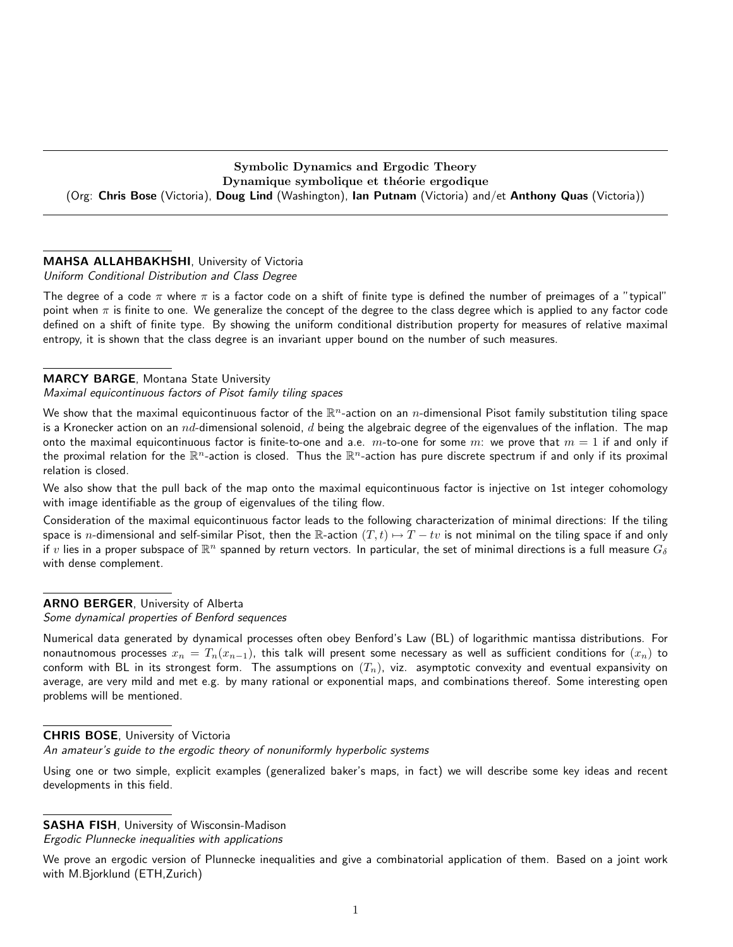# Symbolic Dynamics and Ergodic Theory Dynamique symbolique et théorie ergodique (Org: Chris Bose (Victoria), Doug Lind (Washington), Ian Putnam (Victoria) and/et Anthony Quas (Victoria))

# MAHSA ALLAHBAKHSHI, University of Victoria

Uniform Conditional Distribution and Class Degree

The degree of a code  $\pi$  where  $\pi$  is a factor code on a shift of finite type is defined the number of preimages of a "typical" point when  $\pi$  is finite to one. We generalize the concept of the degree to the class degree which is applied to any factor code defined on a shift of finite type. By showing the uniform conditional distribution property for measures of relative maximal entropy, it is shown that the class degree is an invariant upper bound on the number of such measures.

# MARCY BARGE, Montana State University

Maximal equicontinuous factors of Pisot family tiling spaces

We show that the maximal equicontinuous factor of the  $\mathbb{R}^n$ -action on an  $n$ -dimensional Pisot family substitution tiling space is a Kronecker action on an  $nd$ -dimensional solenoid, d being the algebraic degree of the eigenvalues of the inflation. The map onto the maximal equicontinuous factor is finite-to-one and a.e.  $m$ -to-one for some  $m$ : we prove that  $m = 1$  if and only if the proximal relation for the  $\mathbb{R}^n$ -action is closed. Thus the  $\mathbb{R}^n$ -action has pure discrete spectrum if and only if its proximal relation is closed.

We also show that the pull back of the map onto the maximal equicontinuous factor is injective on 1st integer cohomology with image identifiable as the group of eigenvalues of the tiling flow.

Consideration of the maximal equicontinuous factor leads to the following characterization of minimal directions: If the tiling space is n-dimensional and self-similar Pisot, then the R-action  $(T, t) \mapsto T - tv$  is not minimal on the tiling space if and only if  $v$  lies in a proper subspace of  $\R^n$  spanned by return vectors. In particular, the set of minimal directions is a full measure  $G_\delta$ with dense complement.

# ARNO BERGER, University of Alberta

Some dynamical properties of Benford sequences

Numerical data generated by dynamical processes often obey Benford's Law (BL) of logarithmic mantissa distributions. For nonautnomous processes  $x_n = T_n(x_{n-1})$ , this talk will present some necessary as well as sufficient conditions for  $(x_n)$  to conform with BL in its strongest form. The assumptions on  $(T_n)$ , viz. asymptotic convexity and eventual expansivity on average, are very mild and met e.g. by many rational or exponential maps, and combinations thereof. Some interesting open problems will be mentioned.

# CHRIS BOSE, University of Victoria

An amateur's guide to the ergodic theory of nonuniformly hyperbolic systems

Using one or two simple, explicit examples (generalized baker's maps, in fact) we will describe some key ideas and recent developments in this field.

SASHA FISH, University of Wisconsin-Madison

Ergodic Plunnecke inequalities with applications

We prove an ergodic version of Plunnecke inequalities and give a combinatorial application of them. Based on a joint work with M.Bjorklund (ETH,Zurich)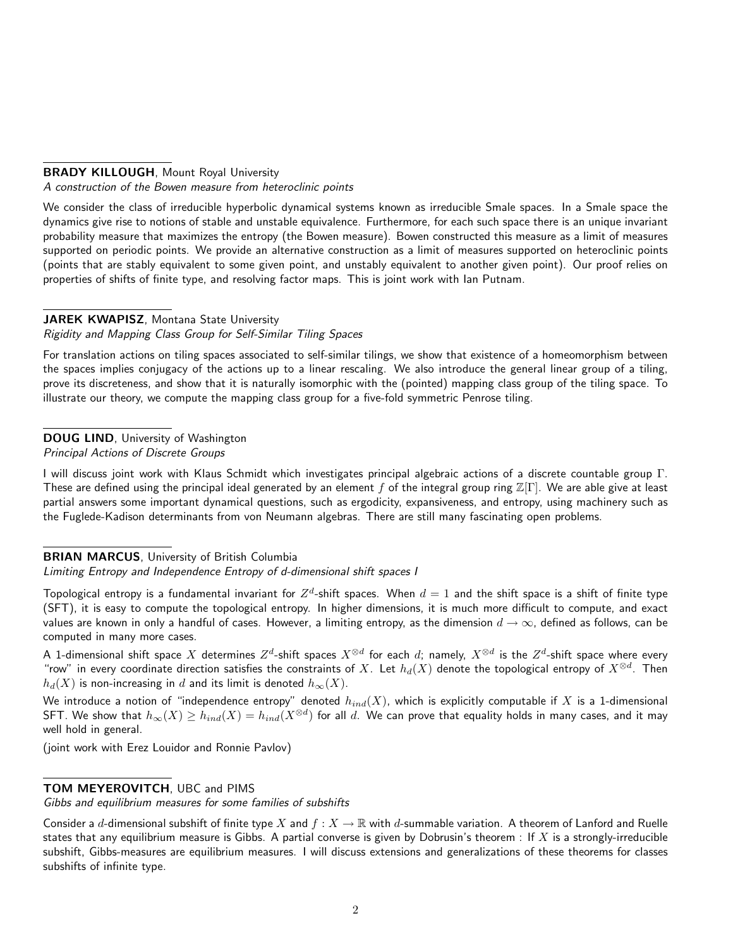# BRADY KILLOUGH, Mount Royal University

A construction of the Bowen measure from heteroclinic points

We consider the class of irreducible hyperbolic dynamical systems known as irreducible Smale spaces. In a Smale space the dynamics give rise to notions of stable and unstable equivalence. Furthermore, for each such space there is an unique invariant probability measure that maximizes the entropy (the Bowen measure). Bowen constructed this measure as a limit of measures supported on periodic points. We provide an alternative construction as a limit of measures supported on heteroclinic points (points that are stably equivalent to some given point, and unstably equivalent to another given point). Our proof relies on properties of shifts of finite type, and resolving factor maps. This is joint work with Ian Putnam.

### JAREK KWAPISZ, Montana State University

#### Rigidity and Mapping Class Group for Self-Similar Tiling Spaces

For translation actions on tiling spaces associated to self-similar tilings, we show that existence of a homeomorphism between the spaces implies conjugacy of the actions up to a linear rescaling. We also introduce the general linear group of a tiling, prove its discreteness, and show that it is naturally isomorphic with the (pointed) mapping class group of the tiling space. To illustrate our theory, we compute the mapping class group for a five-fold symmetric Penrose tiling.

# DOUG LIND, University of Washington

Principal Actions of Discrete Groups

I will discuss joint work with Klaus Schmidt which investigates principal algebraic actions of a discrete countable group Γ. These are defined using the principal ideal generated by an element f of the integral group ring  $\mathbb{Z}[\Gamma]$ . We are able give at least partial answers some important dynamical questions, such as ergodicity, expansiveness, and entropy, using machinery such as the Fuglede-Kadison determinants from von Neumann algebras. There are still many fascinating open problems.

#### BRIAN MARCUS, University of British Columbia

Limiting Entropy and Independence Entropy of d-dimensional shift spaces I

Topological entropy is a fundamental invariant for  $Z^d$ -shift spaces. When  $d=1$  and the shift space is a shift of finite type (SFT), it is easy to compute the topological entropy. In higher dimensions, it is much more difficult to compute, and exact values are known in only a handful of cases. However, a limiting entropy, as the dimension  $d \to \infty$ , defined as follows, can be computed in many more cases.

A 1-dimensional shift space  $X$  determines  $Z^d$ -shift spaces  $X^{\otimes d}$  for each  $d$ ; namely,  $X^{\otimes d}$  is the  $Z^d$ -shift space where every "row" in every coordinate direction satisfies the constraints of  $X$ . Let  $h_d(X)$  denote the topological entropy of  $X^{\otimes d}$ . Then  $h_d(X)$  is non-increasing in d and its limit is denoted  $h_{\infty}(X)$ .

We introduce a notion of "independence entropy" denoted  $h_{ind}(X)$ , which is explicitly computable if X is a 1-dimensional <code>SFT</code>. We show that  $h_\infty(X)\geq h_{ind}(X)=h_{ind}(X^{\otimes d})$  for all  $d.$  We can prove that equality holds in many cases, and it may well hold in general.

(joint work with Erez Louidor and Ronnie Pavlov)

# TOM MEYEROVITCH, UBC and PIMS

Gibbs and equilibrium measures for some families of subshifts

Consider a d-dimensional subshift of finite type X and  $f: X \to \mathbb{R}$  with d-summable variation. A theorem of Lanford and Ruelle states that any equilibrium measure is Gibbs. A partial converse is given by Dobrusin's theorem : If  $X$  is a strongly-irreducible subshift, Gibbs-measures are equilibrium measures. I will discuss extensions and generalizations of these theorems for classes subshifts of infinite type.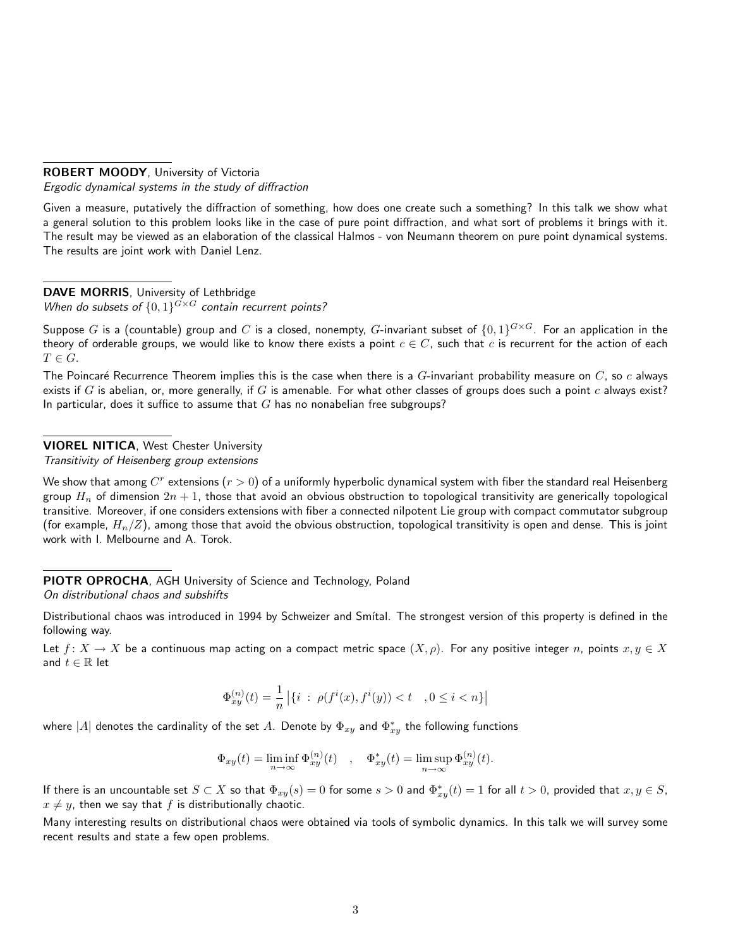#### ROBERT MOODY, University of Victoria Ergodic dynamical systems in the study of diffraction

Given a measure, putatively the diffraction of something, how does one create such a something? In this talk we show what a general solution to this problem looks like in the case of pure point diffraction, and what sort of problems it brings with it. The result may be viewed as an elaboration of the classical Halmos - von Neumann theorem on pure point dynamical systems. The results are joint work with Daniel Lenz.

#### DAVE MORRIS, University of Lethbridge

When do subsets of  $\{0,1\}^{G \times G}$  contain recurrent points?

Suppose  $G$  is a (countable) group and  $C$  is a closed, nonempty,  $G$ -invariant subset of  $\{0,1\}^{G\times G}.$  For an application in the theory of orderable groups, we would like to know there exists a point  $c \in C$ , such that c is recurrent for the action of each  $T \in G$ .

The Poincaré Recurrence Theorem implies this is the case when there is a  $G$ -invariant probability measure on  $C$ , so  $c$  always exists if G is abelian, or, more generally, if G is amenable. For what other classes of groups does such a point  $c$  always exist? In particular, does it suffice to assume that  $G$  has no nonabelian free subgroups?

# VIOREL NITICA, West Chester University

Transitivity of Heisenberg group extensions

We show that among  $C^r$  extensions  $(r>0)$  of a uniformly hyperbolic dynamical system with fiber the standard real Heisenberg group  $H_n$  of dimension  $2n + 1$ , those that avoid an obvious obstruction to topological transitivity are generically topological transitive. Moreover, if one considers extensions with fiber a connected nilpotent Lie group with compact commutator subgroup (for example,  $H_n/Z$ ), among those that avoid the obvious obstruction, topological transitivity is open and dense. This is joint work with I. Melbourne and A. Torok.

# PIOTR OPROCHA, AGH University of Science and Technology, Poland

On distributional chaos and subshifts

Distributional chaos was introduced in 1994 by Schweizer and Smítal. The strongest version of this property is defined in the following way.

Let  $f: X \to X$  be a continuous map acting on a compact metric space  $(X, \rho)$ . For any positive integer n, points  $x, y \in X$ and  $t \in \mathbb{R}$  let

$$
\Phi_{xy}^{(n)}(t) = \frac{1}{n} | \{ i \; : \; \rho(f^i(x), f^i(y)) < t \quad , 0 \le i < n \} |
$$

where  $|A|$  denotes the cardinality of the set  $A.$  Denote by  $\Phi_{xy}$  and  $\Phi_{xy}^*$  the following functions

$$
\Phi_{xy}(t) = \liminf_{n \to \infty} \Phi_{xy}^{(n)}(t) \quad , \quad \Phi_{xy}^*(t) = \limsup_{n \to \infty} \Phi_{xy}^{(n)}(t).
$$

If there is an uncountable set  $S\subset X$  so that  $\Phi_{xy}(s)=0$  for some  $s>0$  and  $\Phi^*_{xy}(t)=1$  for all  $t>0$ , provided that  $x,y\in S$ ,  $x \neq y$ , then we say that f is distributionally chaotic.

Many interesting results on distributional chaos were obtained via tools of symbolic dynamics. In this talk we will survey some recent results and state a few open problems.